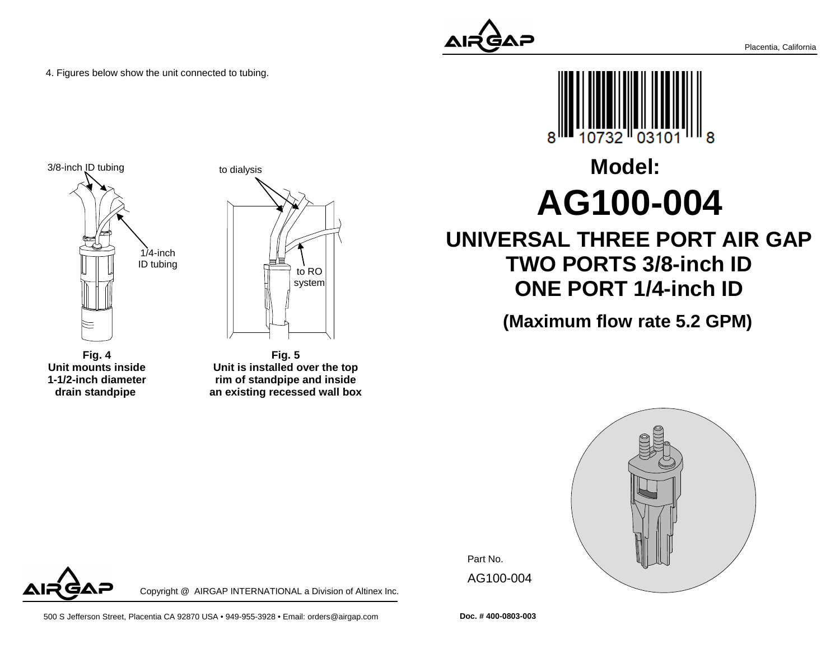4. Figures below show the unit connected to tubing.





**Fig. 4 Unit mounts inside 1-1/2-inch diameterdrain standpipe** 

**Fig. 5 Unit is installed over the top rim of standpipe and insidean existing recessed wall box**

Copyright @ AIRGAP INTERNATIONAL a Division of Altinex Inc.





# **Model:AG100-004**

## **UNIVERSAL THREE PORT AIR GAP TWO PORTS 3/8-inch IDONE PORT 1/4-inch ID**

**(Maximum flow rate 5.2 GPM)**



Part No. AG100-004

**Doc. # 400-0803-003**